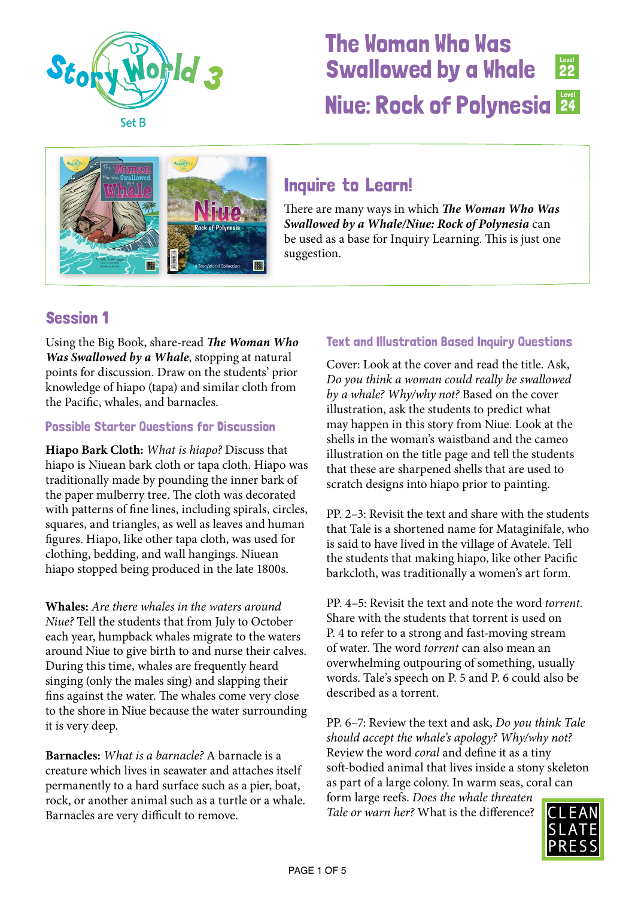



## Inquire to Learn!

There are many ways in which *The Woman Who Was Swallowed by a Whale/Niue: Rock of Polynesia* can be used as a base for Inquiry Learning. This is just one suggestion.

## Session 1

Using the Big Book, share-read *The Woman Who Was Swallowed by a Whale*, stopping at natural points for discussion. Draw on the students' prior knowledge of hiapo (tapa) and similar cloth from the Pacific, whales, and barnacles.

#### Possible Starter Questions for Discussion

**Hiapo Bark Cloth:** *What is hiapo?* Discuss that hiapo is Niuean bark cloth or tapa cloth. Hiapo was traditionally made by pounding the inner bark of the paper mulberry tree. The cloth was decorated with patterns of fine lines, including spirals, circles, squares, and triangles, as well as leaves and human figures. Hiapo, like other tapa cloth, was used for clothing, bedding, and wall hangings. Niuean hiapo stopped being produced in the late 1800s.

**Whales:** *Are there whales in the waters around Niue?* Tell the students that from July to October each year, humpback whales migrate to the waters around Niue to give birth to and nurse their calves. During this time, whales are frequently heard singing (only the males sing) and slapping their fins against the water. The whales come very close to the shore in Niue because the water surrounding it is very deep.

**Barnacles:** *What is a barnacle?* A barnacle is a creature which lives in seawater and attaches itself permanently to a hard surface such as a pier, boat, rock, or another animal such as a turtle or a whale. Barnacles are very difficult to remove.

### Text and Illustration Based Inquiry Questions

Cover: Look at the cover and read the title. Ask, *Do you think a woman could really be swallowed by a whale? Why/why not?* Based on the cover illustration, ask the students to predict what may happen in this story from Niue. Look at the shells in the woman's waistband and the cameo illustration on the title page and tell the students that these are sharpened shells that are used to scratch designs into hiapo prior to painting.

PP. 2–3: Revisit the text and share with the students that Tale is a shortened name for Mataginifale, who is said to have lived in the village of Avatele. Tell the students that making hiapo, like other Pacific barkcloth, was traditionally a women's art form.

PP. 4–5: Revisit the text and note the word *torrent.*  Share with the students that torrent is used on P. 4 to refer to a strong and fast-moving stream of water. The word *torrent* can also mean an overwhelming outpouring of something, usually words. Tale's speech on P. 5 and P. 6 could also be described as a torrent.

PP. 6–7: Review the text and ask, *Do you think Tale should accept the whale's apology? Why/why not?*  Review the word *coral* and define it as a tiny soft-bodied animal that lives inside a stony skeleton as part of a large colony. In warm seas, coral can form large reefs. *Does the whale threaten Tale or warn her?* What is the difference?

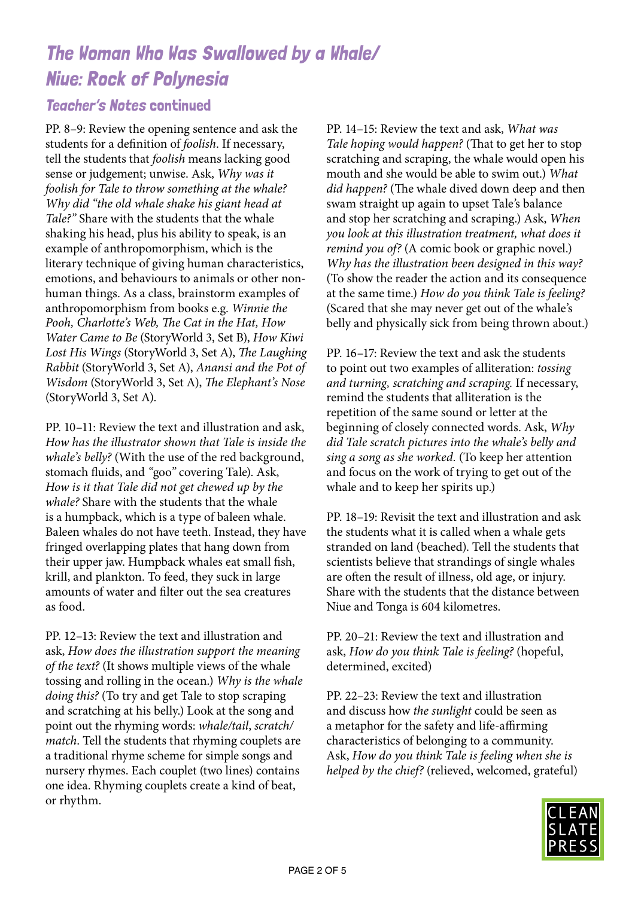#### Teacher's Notes continued

PP. 8–9: Review the opening sentence and ask the students for a definition of *foolish*. If necessary, tell the students that *foolish* means lacking good sense or judgement; unwise. Ask, *Why was it foolish for Tale to throw something at the whale? Why did "the old whale shake his giant head at Tale?"* Share with the students that the whale shaking his head, plus his ability to speak, is an example of anthropomorphism, which is the literary technique of giving human characteristics, emotions, and behaviours to animals or other nonhuman things. As a class, brainstorm examples of anthropomorphism from books e.g. *Winnie the Pooh, Charlotte's Web, The Cat in the Hat, How Water Came to Be* (StoryWorld 3, Set B), *How Kiwi Lost His Wings* (StoryWorld 3, Set A), *The Laughing Rabbit* (StoryWorld 3, Set A), *Anansi and the Pot of Wisdom* (StoryWorld 3, Set A), *The Elephant's Nose*  (StoryWorld 3, Set A).

PP. 10–11: Review the text and illustration and ask, *How has the illustrator shown that Tale is inside the whale's belly?* (With the use of the red background, stomach fluids, and *"*goo*"* covering Tale). Ask, *How is it that Tale did not get chewed up by the whale?* Share with the students that the whale is a humpback, which is a type of baleen whale. Baleen whales do not have teeth. Instead, they have fringed overlapping plates that hang down from their upper jaw. Humpback whales eat small fish, krill, and plankton. To feed, they suck in large amounts of water and filter out the sea creatures as food.

PP. 12–13: Review the text and illustration and ask, *How does the illustration support the meaning of the text?* (It shows multiple views of the whale tossing and rolling in the ocean.) *Why is the whale doing this?* (To try and get Tale to stop scraping and scratching at his belly.) Look at the song and point out the rhyming words: *whale/tail*, *scratch/ match*. Tell the students that rhyming couplets are a traditional rhyme scheme for simple songs and nursery rhymes. Each couplet (two lines) contains one idea. Rhyming couplets create a kind of beat, or rhythm.

PP. 14–15: Review the text and ask, *What was Tale hoping would happen?* (That to get her to stop scratching and scraping, the whale would open his mouth and she would be able to swim out.) *What did happen?* (The whale dived down deep and then swam straight up again to upset Tale*'*s balance and stop her scratching and scraping.) Ask, *When you look at this illustration treatment, what does it remind you of?* (A comic book or graphic novel.) *Why has the illustration been designed in this way?*  (To show the reader the action and its consequence at the same time.) *How do you think Tale is feeling?* (Scared that she may never get out of the whale*'*s belly and physically sick from being thrown about.)

PP. 16–17: Review the text and ask the students to point out two examples of alliteration: *tossing and turning, scratching and scraping.* If necessary, remind the students that alliteration is the repetition of the same sound or letter at the beginning of closely connected words. Ask, *Why did Tale scratch pictures into the whale's belly and sing a song as she worked.* (To keep her attention and focus on the work of trying to get out of the whale and to keep her spirits up.)

PP. 18–19: Revisit the text and illustration and ask the students what it is called when a whale gets stranded on land (beached). Tell the students that scientists believe that strandings of single whales are often the result of illness, old age, or injury. Share with the students that the distance between Niue and Tonga is 604 kilometres.

PP. 20–21: Review the text and illustration and ask, *How do you think Tale is feeling?* (hopeful, determined, excited)

PP. 22–23: Review the text and illustration and discuss how *the sunlight* could be seen as a metaphor for the safety and life-affirming characteristics of belonging to a community. Ask, *How do you think Tale is feeling when she is helped by the chief?* (relieved, welcomed, grateful)

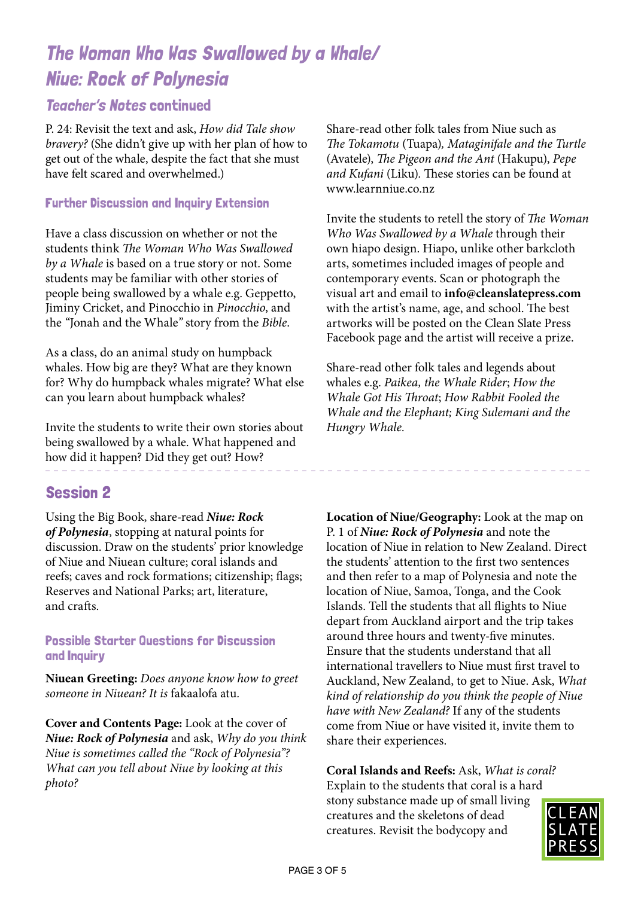### Teacher's Notes continued

P. 24: Revisit the text and ask, *How did Tale show bravery?* (She didn*'*t give up with her plan of how to get out of the whale, despite the fact that she must have felt scared and overwhelmed.)

#### Further Discussion and Inquiry Extension

Have a class discussion on whether or not the students think *The Woman Who Was Swallowed by a Whale* is based on a true story or not. Some students may be familiar with other stories of people being swallowed by a whale e.g. Geppetto, Jiminy Cricket, and Pinocchio in *Pinocchio*, and the *"*Jonah and the Whale*"* story from the *Bible*.

As a class, do an animal study on humpback whales. How big are they? What are they known for? Why do humpback whales migrate? What else can you learn about humpback whales?

Invite the students to write their own stories about being swallowed by a whale. What happened and how did it happen? Did they get out? How?

### Session 2

Using the Big Book, share-read *Niue: Rock of Polynesia*, stopping at natural points for discussion. Draw on the students' prior knowledge of Niue and Niuean culture; coral islands and reefs; caves and rock formations; citizenship; flags; Reserves and National Parks; art, literature, and crafts.

#### Possible Starter Questions for Discussion and Inquiry

**Niuean Greeting:** *Does anyone know how to greet someone in Niuean? It is* fakaalofa atu*.*

**Cover and Contents Page:** Look at the cover of *Niue: Rock of Polynesia* and ask, *Why do you think Niue is sometimes called the "Rock of Polynesia"? What can you tell about Niue by looking at this photo?*

Share-read other folk tales from Niue such as *The Tokamotu* (Tuapa)*, Mataginifale and the Turtle*  (Avatele), *The Pigeon and the Ant* (Hakupu), *Pepe and Kufani* (Liku)*.* These stories can be found at www.learnniue.co.nz

Invite the students to retell the story of *The Woman Who Was Swallowed by a Whale* through their own hiapo design. Hiapo, unlike other barkcloth arts, sometimes included images of people and contemporary events. Scan or photograph the visual art and email to **info@cleanslatepress.com** with the artist's name, age, and school. The best artworks will be posted on the Clean Slate Press Facebook page and the artist will receive a prize.

Share-read other folk tales and legends about whales e.g. *Paikea, the Whale Rider*; *How the Whale Got His Throat*; *How Rabbit Fooled the Whale and the Elephant; King Sulemani and the Hungry Whale.*

**Location of Niue/Geography:** Look at the map on P. 1 of *Niue: Rock of Polynesia* and note the location of Niue in relation to New Zealand. Direct the students' attention to the first two sentences and then refer to a map of Polynesia and note the location of Niue, Samoa, Tonga, and the Cook Islands. Tell the students that all flights to Niue depart from Auckland airport and the trip takes around three hours and twenty-five minutes. Ensure that the students understand that all international travellers to Niue must first travel to Auckland, New Zealand, to get to Niue. Ask, *What kind of relationship do you think the people of Niue have with New Zealand?* If any of the students come from Niue or have visited it, invite them to share their experiences.

**Coral Islands and Reefs:** Ask, *What is coral?*  Explain to the students that coral is a hard stony substance made up of small living creatures and the skeletons of dead creatures. Revisit the bodycopy and

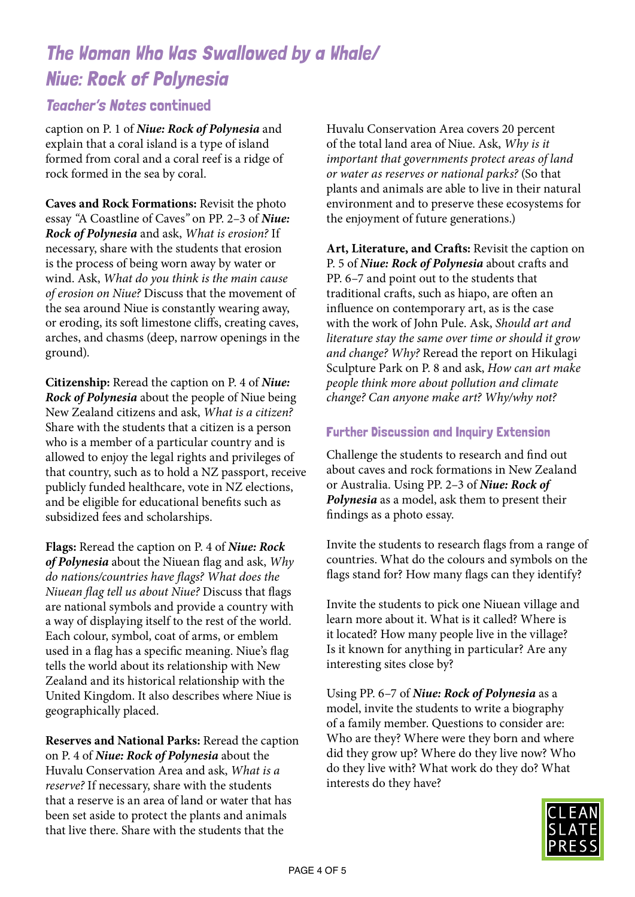### Teacher's Notes continued

caption on P. 1 of *Niue: Rock of Polynesia* and explain that a coral island is a type of island formed from coral and a coral reef is a ridge of rock formed in the sea by coral.

**Caves and Rock Formations:** Revisit the photo essay *"*A Coastline of Caves*"* on PP. 2–3 of *Niue: Rock of Polynesia* and ask, *What is erosion?* If necessary, share with the students that erosion is the process of being worn away by water or wind. Ask, *What do you think is the main cause of erosion on Niue?* Discuss that the movement of the sea around Niue is constantly wearing away, or eroding, its soft limestone cliffs, creating caves, arches, and chasms (deep, narrow openings in the ground).

**Citizenship:** Reread the caption on P. 4 of *Niue: Rock of Polynesia* about the people of Niue being New Zealand citizens and ask, *What is a citizen?*  Share with the students that a citizen is a person who is a member of a particular country and is allowed to enjoy the legal rights and privileges of that country, such as to hold a NZ passport, receive publicly funded healthcare, vote in NZ elections, and be eligible for educational benefits such as subsidized fees and scholarships.

**Flags:** Reread the caption on P. 4 of *Niue: Rock of Polynesia* about the Niuean flag and ask, *Why do nations/countries have flags? What does the Niuean flag tell us about Niue?* Discuss that flags are national symbols and provide a country with a way of displaying itself to the rest of the world. Each colour, symbol, coat of arms, or emblem used in a flag has a specific meaning. Niue's flag tells the world about its relationship with New Zealand and its historical relationship with the United Kingdom. It also describes where Niue is geographically placed.

**Reserves and National Parks:** Reread the caption on P. 4 of *Niue: Rock of Polynesia* about the Huvalu Conservation Area and ask, *What is a reserve?* If necessary, share with the students that a reserve is an area of land or water that has been set aside to protect the plants and animals that live there. Share with the students that the

Huvalu Conservation Area covers 20 percent of the total land area of Niue. Ask, *Why is it important that governments protect areas of land or water as reserves or national parks?* (So that plants and animals are able to live in their natural environment and to preserve these ecosystems for the enjoyment of future generations.)

**Art, Literature, and Crafts:** Revisit the caption on P. 5 of *Niue: Rock of Polynesia* about crafts and PP. 6–7 and point out to the students that traditional crafts, such as hiapo, are often an influence on contemporary art, as is the case with the work of John Pule. Ask, *Should art and literature stay the same over time or should it grow and change? Why?* Reread the report on Hikulagi Sculpture Park on P. 8 and ask, *How can art make people think more about pollution and climate change? Can anyone make art? Why/why not?*

#### Further Discussion and Inquiry Extension

Challenge the students to research and find out about caves and rock formations in New Zealand or Australia. Using PP. 2–3 of *Niue: Rock of Polynesia* as a model, ask them to present their findings as a photo essay.

Invite the students to research flags from a range of countries. What do the colours and symbols on the flags stand for? How many flags can they identify?

Invite the students to pick one Niuean village and learn more about it. What is it called? Where is it located? How many people live in the village? Is it known for anything in particular? Are any interesting sites close by?

Using PP. 6–7 of *Niue: Rock of Polynesia* as a model, invite the students to write a biography of a family member. Questions to consider are: Who are they? Where were they born and where did they grow up? Where do they live now? Who do they live with? What work do they do? What interests do they have?